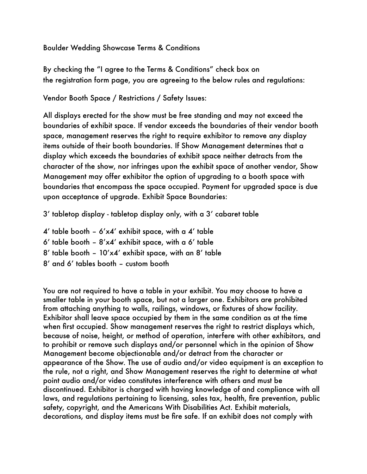#### Boulder Wedding Showcase Terms & Conditions

By checking the "I agree to the Terms & Conditions" check box on the registration form page, you are agreeing to the below rules and regulations:

Vendor Booth Space / Restrictions / Safety Issues:

All displays erected for the show must be free standing and may not exceed the boundaries of exhibit space. If vendor exceeds the boundaries of their vendor booth space, management reserves the right to require exhibitor to remove any display items outside of their booth boundaries. If Show Management determines that a display which exceeds the boundaries of exhibit space neither detracts from the character of the show, nor infringes upon the exhibit space of another vendor, Show Management may offer exhibitor the option of upgrading to a booth space with boundaries that encompass the space occupied. Payment for upgraded space is due upon acceptance of upgrade. Exhibit Space Boundaries:

3' tabletop display - tabletop display only, with a 3' cabaret table

 $4'$  table booth –  $6'x4'$  exhibit space, with a  $4'$  table

6' table booth -  $8' \times 4'$  exhibit space, with a 6' table

- 8' table booth 10'x4' exhibit space, with an 8' table
- 8' and 6' tables booth custom booth

You are not required to have a table in your exhibit. You may choose to have a smaller table in your booth space, but not a larger one. Exhibitors are prohibited from attaching anything to walls, railings, windows, or fixtures of show facility. Exhibitor shall leave space occupied by them in the same condition as at the time when first occupied. Show management reserves the right to restrict displays which, because of noise, height, or method of operation, interfere with other exhibitors, and to prohibit or remove such displays and/or personnel which in the opinion of Show Management become objectionable and/or detract from the character or appearance of the Show. The use of audio and/or video equipment is an exception to the rule, not a right, and Show Management reserves the right to determine at what point audio and/or video constitutes interference with others and must be discontinued. Exhibitor is charged with having knowledge of and compliance with all laws, and regulations pertaining to licensing, sales tax, health, fire prevention, public safety, copyright, and the Americans With Disabilities Act. Exhibit materials, decorations, and display items must be fire safe. If an exhibit does not comply with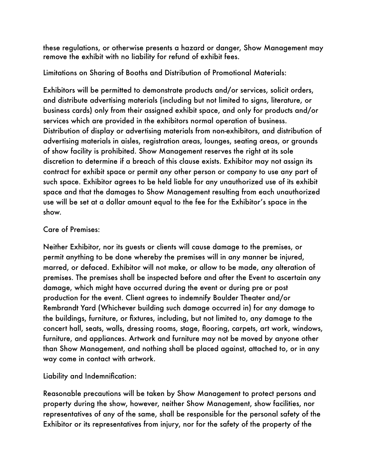these regulations, or otherwise presents a hazard or danger, Show Management may remove the exhibit with no liability for refund of exhibit fees.

Limitations on Sharing of Booths and Distribution of Promotional Materials:

Exhibitors will be permitted to demonstrate products and/or services, solicit orders, and distribute advertising materials (including but not limited to signs, literature, or business cards) only from their assigned exhibit space, and only for products and/or services which are provided in the exhibitors normal operation of business. Distribution of display or advertising materials from non-exhibitors, and distribution of advertising materials in aisles, registration areas, lounges, seating areas, or grounds of show facility is prohibited. Show Management reserves the right at its sole discretion to determine if a breach of this clause exists. Exhibitor may not assign its contract for exhibit space or permit any other person or company to use any part of such space. Exhibitor agrees to be held liable for any unauthorized use of its exhibit space and that the damages to Show Management resulting from each unauthorized use will be set at a dollar amount equal to the fee for the Exhibitor's space in the show.

## Care of Premises:

Neither Exhibitor, nor its guests or clients will cause damage to the premises, or permit anything to be done whereby the premises will in any manner be injured, marred, or defaced. Exhibitor will not make, or allow to be made, any alteration of premises. The premises shall be inspected before and after the Event to ascertain any damage, which might have occurred during the event or during pre or post production for the event. Client agrees to indemnify Boulder Theater and/or Rembrandt Yard (Whichever building such damage occurred in) for any damage to the buildings, furniture, or fixtures, including, but not limited to, any damage to the concert hall, seats, walls, dressing rooms, stage, flooring, carpets, art work, windows, furniture, and appliances. Artwork and furniture may not be moved by anyone other than Show Management, and nothing shall be placed against, attached to, or in any way come in contact with artwork.

Liability and Indemnification:

Reasonable precautions will be taken by Show Management to protect persons and property during the show, however, neither Show Management, show facilities, nor representatives of any of the same, shall be responsible for the personal safety of the Exhibitor or its representatives from injury, nor for the safety of the property of the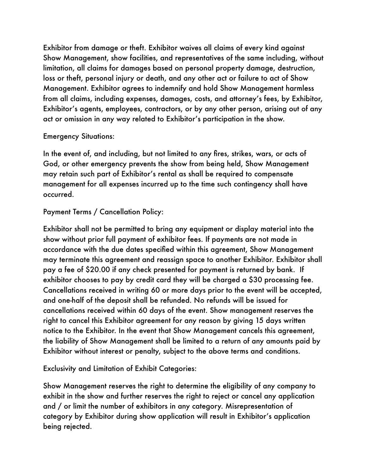Exhibitor from damage or theft. Exhibitor waives all claims of every kind against Show Management, show facilities, and representatives of the same including, without limitation, all claims for damages based on personal property damage, destruction, loss or theft, personal injury or death, and any other act or failure to act of Show Management. Exhibitor agrees to indemnify and hold Show Management harmless from all claims, including expenses, damages, costs, and attorney's fees, by Exhibitor, Exhibitor's agents, employees, contractors, or by any other person, arising out of any act or omission in any way related to Exhibitor's participation in the show.

#### Emergency Situations:

In the event of, and including, but not limited to any fires, strikes, wars, or acts of God, or other emergency prevents the show from being held, Show Management may retain such part of Exhibitor's rental as shall be required to compensate management for all expenses incurred up to the time such contingency shall have occurred.

# Payment Terms / Cancellation Policy:

Exhibitor shall not be permitted to bring any equipment or display material into the show without prior full payment of exhibitor fees. If payments are not made in accordance with the due dates specified within this agreement, Show Management may terminate this agreement and reassign space to another Exhibitor. Exhibitor shall pay a fee of \$20.00 if any check presented for payment is returned by bank. If exhibitor chooses to pay by credit card they will be charged a \$30 processing fee. Cancellations received in writing 60 or more days prior to the event will be accepted, and one-half of the deposit shall be refunded. No refunds will be issued for cancellations received within 60 days of the event. Show management reserves the right to cancel this Exhibitor agreement for any reason by giving 15 days written notice to the Exhibitor. In the event that Show Management cancels this agreement, the liability of Show Management shall be limited to a return of any amounts paid by Exhibitor without interest or penalty, subject to the above terms and conditions.

Exclusivity and Limitation of Exhibit Categories:

Show Management reserves the right to determine the eligibility of any company to exhibit in the show and further reserves the right to reject or cancel any application and / or limit the number of exhibitors in any category. Misrepresentation of category by Exhibitor during show application will result in Exhibitor's application being rejected.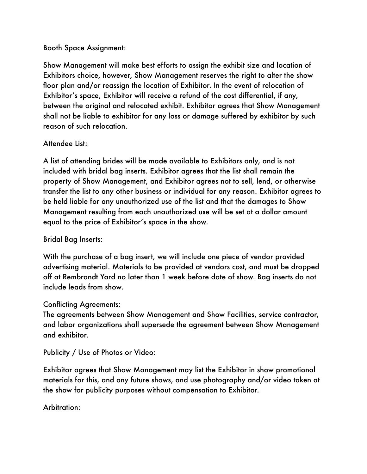#### Booth Space Assignment:

Show Management will make best efforts to assign the exhibit size and location of Exhibitors choice, however, Show Management reserves the right to alter the show floor plan and/or reassign the location of Exhibitor. In the event of relocation of Exhibitor's space, Exhibitor will receive a refund of the cost differential, if any, between the original and relocated exhibit. Exhibitor agrees that Show Management shall not be liable to exhibitor for any loss or damage suffered by exhibitor by such reason of such relocation.

## Attendee List:

A list of attending brides will be made available to Exhibitors only, and is not included with bridal bag inserts. Exhibitor agrees that the list shall remain the property of Show Management, and Exhibitor agrees not to sell, lend, or otherwise transfer the list to any other business or individual for any reason. Exhibitor agrees to be held liable for any unauthorized use of the list and that the damages to Show Management resulting from each unauthorized use will be set at a dollar amount equal to the price of Exhibitor's space in the show.

## Bridal Bag Inserts:

With the purchase of a bag insert, we will include one piece of vendor provided advertising material. Materials to be provided at vendors cost, and must be dropped off at Rembrandt Yard no later than 1 week before date of show. Bag inserts do not include leads from show.

## Conflicting Agreements:

The agreements between Show Management and Show Facilities, service contractor, and labor organizations shall supersede the agreement between Show Management and exhibitor.

Publicity / Use of Photos or Video:

Exhibitor agrees that Show Management may list the Exhibitor in show promotional materials for this, and any future shows, and use photography and/or video taken at the show for publicity purposes without compensation to Exhibitor.

Arbitration: